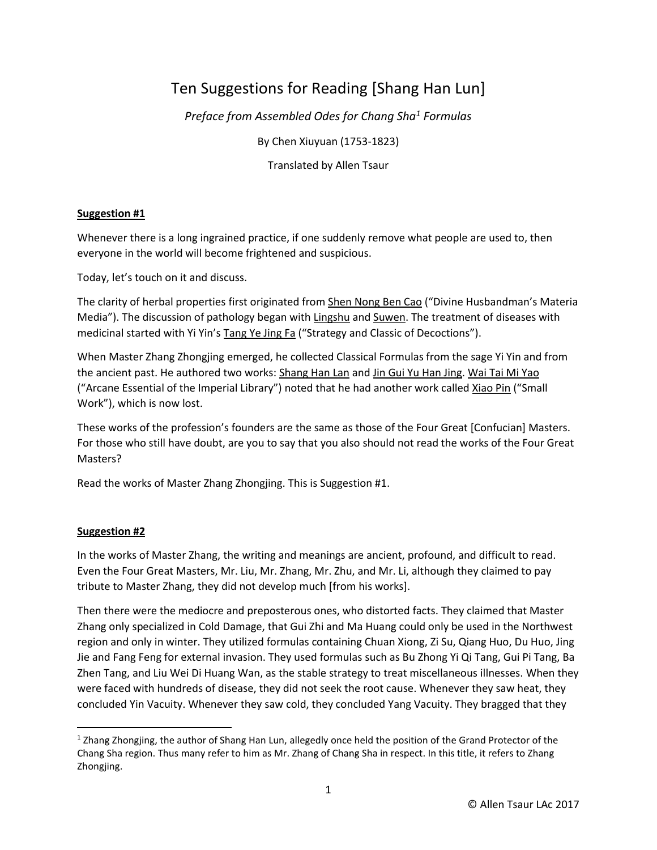# Ten Suggestions for Reading [Shang Han Lun]

*Preface from Assembled Odes for Chang Sha<sup>1</sup> Formulas*

By Chen Xiuyuan (1753-1823)

Translated by Allen Tsaur

# **Suggestion #1**

Whenever there is a long ingrained practice, if one suddenly remove what people are used to, then everyone in the world will become frightened and suspicious.

Today, let's touch on it and discuss.

The clarity of herbal properties first originated from Shen Nong Ben Cao ("Divine Husbandman's Materia Media"). The discussion of pathology began with Lingshu and Suwen. The treatment of diseases with medicinal started with Yi Yin's Tang Ye Jing Fa ("Strategy and Classic of Decoctions").

When Master Zhang Zhongjing emerged, he collected Classical Formulas from the sage Yi Yin and from the ancient past. He authored two works: Shang Han Lan and Jin Gui Yu Han Jing. Wai Tai Mi Yao ("Arcane Essential of the Imperial Library") noted that he had another work called Xiao Pin ("Small Work"), which is now lost.

These works of the profession's founders are the same as those of the Four Great [Confucian] Masters. For those who still have doubt, are you to say that you also should not read the works of the Four Great Masters?

Read the works of Master Zhang Zhongjing. This is Suggestion #1.

# **Suggestion #2**

 $\overline{\phantom{a}}$ 

In the works of Master Zhang, the writing and meanings are ancient, profound, and difficult to read. Even the Four Great Masters, Mr. Liu, Mr. Zhang, Mr. Zhu, and Mr. Li, although they claimed to pay tribute to Master Zhang, they did not develop much [from his works].

Then there were the mediocre and preposterous ones, who distorted facts. They claimed that Master Zhang only specialized in Cold Damage, that Gui Zhi and Ma Huang could only be used in the Northwest region and only in winter. They utilized formulas containing Chuan Xiong, Zi Su, Qiang Huo, Du Huo, Jing Jie and Fang Feng for external invasion. They used formulas such as Bu Zhong Yi Qi Tang, Gui Pi Tang, Ba Zhen Tang, and Liu Wei Di Huang Wan, as the stable strategy to treat miscellaneous illnesses. When they were faced with hundreds of disease, they did not seek the root cause. Whenever they saw heat, they concluded Yin Vacuity. Whenever they saw cold, they concluded Yang Vacuity. They bragged that they

<sup>1</sup> Zhang Zhongjing, the author of Shang Han Lun, allegedly once held the position of the Grand Protector of the Chang Sha region. Thus many refer to him as Mr. Zhang of Chang Sha in respect. In this title, it refers to Zhang Zhongjing.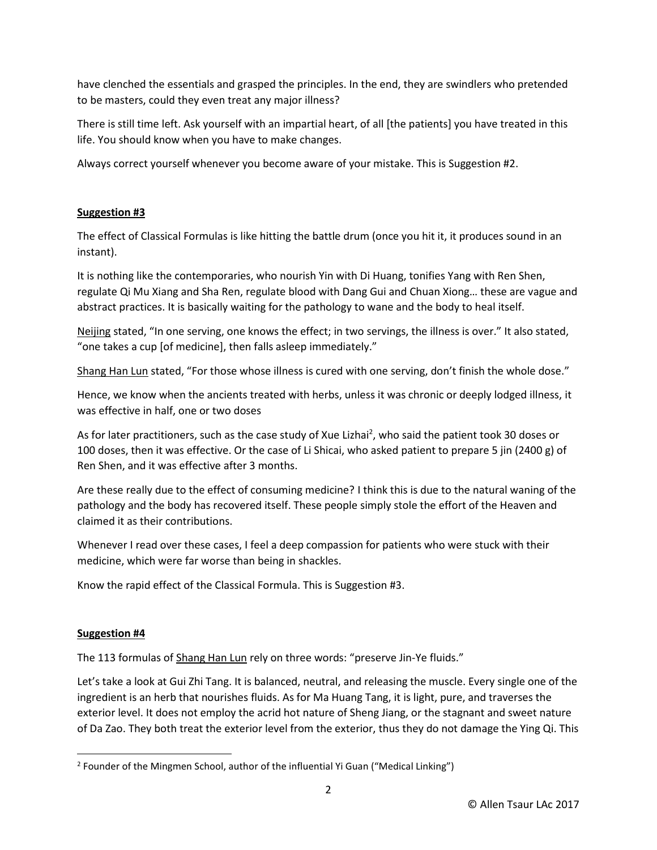have clenched the essentials and grasped the principles. In the end, they are swindlers who pretended to be masters, could they even treat any major illness?

There is still time left. Ask yourself with an impartial heart, of all [the patients] you have treated in this life. You should know when you have to make changes.

Always correct yourself whenever you become aware of your mistake. This is Suggestion #2.

# **Suggestion #3**

The effect of Classical Formulas is like hitting the battle drum (once you hit it, it produces sound in an instant).

It is nothing like the contemporaries, who nourish Yin with Di Huang, tonifies Yang with Ren Shen, regulate Qi Mu Xiang and Sha Ren, regulate blood with Dang Gui and Chuan Xiong… these are vague and abstract practices. It is basically waiting for the pathology to wane and the body to heal itself.

Neijing stated, "In one serving, one knows the effect; in two servings, the illness is over." It also stated, "one takes a cup [of medicine], then falls asleep immediately."

Shang Han Lun stated, "For those whose illness is cured with one serving, don't finish the whole dose."

Hence, we know when the ancients treated with herbs, unless it was chronic or deeply lodged illness, it was effective in half, one or two doses

As for later practitioners, such as the case study of Xue Lizhai<sup>2</sup>, who said the patient took 30 doses or 100 doses, then it was effective. Or the case of Li Shicai, who asked patient to prepare 5 jin (2400 g) of Ren Shen, and it was effective after 3 months.

Are these really due to the effect of consuming medicine? I think this is due to the natural waning of the pathology and the body has recovered itself. These people simply stole the effort of the Heaven and claimed it as their contributions.

Whenever I read over these cases, I feel a deep compassion for patients who were stuck with their medicine, which were far worse than being in shackles.

Know the rapid effect of the Classical Formula. This is Suggestion #3.

# **Suggestion #4**

 $\overline{\phantom{a}}$ 

The 113 formulas of Shang Han Lun rely on three words: "preserve Jin-Ye fluids."

Let's take a look at Gui Zhi Tang. It is balanced, neutral, and releasing the muscle. Every single one of the ingredient is an herb that nourishes fluids. As for Ma Huang Tang, it is light, pure, and traverses the exterior level. It does not employ the acrid hot nature of Sheng Jiang, or the stagnant and sweet nature of Da Zao. They both treat the exterior level from the exterior, thus they do not damage the Ying Qi. This

<sup>&</sup>lt;sup>2</sup> Founder of the Mingmen School, author of the influential Yi Guan ("Medical Linking")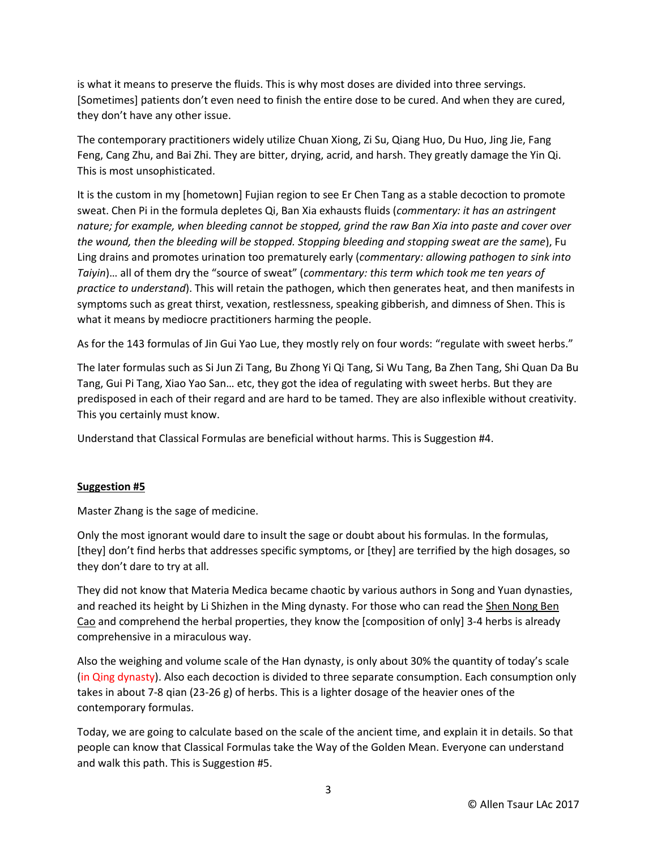is what it means to preserve the fluids. This is why most doses are divided into three servings. [Sometimes] patients don't even need to finish the entire dose to be cured. And when they are cured, they don't have any other issue.

The contemporary practitioners widely utilize Chuan Xiong, Zi Su, Qiang Huo, Du Huo, Jing Jie, Fang Feng, Cang Zhu, and Bai Zhi. They are bitter, drying, acrid, and harsh. They greatly damage the Yin Qi. This is most unsophisticated.

It is the custom in my [hometown] Fujian region to see Er Chen Tang as a stable decoction to promote sweat. Chen Pi in the formula depletes Qi, Ban Xia exhausts fluids (*commentary: it has an astringent nature; for example, when bleeding cannot be stopped, grind the raw Ban Xia into paste and cover over the wound, then the bleeding will be stopped. Stopping bleeding and stopping sweat are the same*), Fu Ling drains and promotes urination too prematurely early (*commentary: allowing pathogen to sink into Taiyin*)… all of them dry the "source of sweat" (*commentary: this term which took me ten years of practice to understand*). This will retain the pathogen, which then generates heat, and then manifests in symptoms such as great thirst, vexation, restlessness, speaking gibberish, and dimness of Shen. This is what it means by mediocre practitioners harming the people.

As for the 143 formulas of Jin Gui Yao Lue, they mostly rely on four words: "regulate with sweet herbs."

The later formulas such as Si Jun Zi Tang, Bu Zhong Yi Qi Tang, Si Wu Tang, Ba Zhen Tang, Shi Quan Da Bu Tang, Gui Pi Tang, Xiao Yao San… etc, they got the idea of regulating with sweet herbs. But they are predisposed in each of their regard and are hard to be tamed. They are also inflexible without creativity. This you certainly must know.

Understand that Classical Formulas are beneficial without harms. This is Suggestion #4.

# **Suggestion #5**

Master Zhang is the sage of medicine.

Only the most ignorant would dare to insult the sage or doubt about his formulas. In the formulas, [they] don't find herbs that addresses specific symptoms, or [they] are terrified by the high dosages, so they don't dare to try at all.

They did not know that Materia Medica became chaotic by various authors in Song and Yuan dynasties, and reached its height by Li Shizhen in the Ming dynasty. For those who can read the Shen Nong Ben Cao and comprehend the herbal properties, they know the [composition of only] 3-4 herbs is already comprehensive in a miraculous way.

Also the weighing and volume scale of the Han dynasty, is only about 30% the quantity of today's scale (in Qing dynasty). Also each decoction is divided to three separate consumption. Each consumption only takes in about 7-8 qian (23-26 g) of herbs. This is a lighter dosage of the heavier ones of the contemporary formulas.

Today, we are going to calculate based on the scale of the ancient time, and explain it in details. So that people can know that Classical Formulas take the Way of the Golden Mean. Everyone can understand and walk this path. This is Suggestion #5.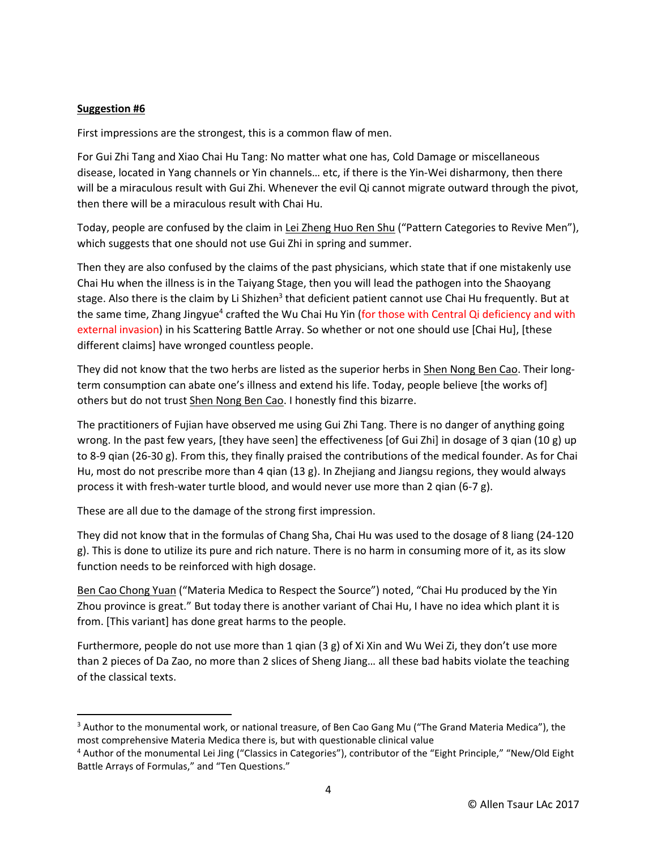# **Suggestion #6**

 $\overline{a}$ 

First impressions are the strongest, this is a common flaw of men.

For Gui Zhi Tang and Xiao Chai Hu Tang: No matter what one has, Cold Damage or miscellaneous disease, located in Yang channels or Yin channels… etc, if there is the Yin-Wei disharmony, then there will be a miraculous result with Gui Zhi. Whenever the evil Qi cannot migrate outward through the pivot, then there will be a miraculous result with Chai Hu.

Today, people are confused by the claim in Lei Zheng Huo Ren Shu ("Pattern Categories to Revive Men"), which suggests that one should not use Gui Zhi in spring and summer.

Then they are also confused by the claims of the past physicians, which state that if one mistakenly use Chai Hu when the illness is in the Taiyang Stage, then you will lead the pathogen into the Shaoyang stage. Also there is the claim by Li Shizhen<sup>3</sup> that deficient patient cannot use Chai Hu frequently. But at the same time, Zhang Jingyue<sup>4</sup> crafted the Wu Chai Hu Yin (for those with Central Qi deficiency and with external invasion) in his Scattering Battle Array. So whether or not one should use [Chai Hu], [these different claims] have wronged countless people.

They did not know that the two herbs are listed as the superior herbs in **Shen Nong Ben Cao.** Their longterm consumption can abate one's illness and extend his life. Today, people believe [the works of] others but do not trust Shen Nong Ben Cao. I honestly find this bizarre.

The practitioners of Fujian have observed me using Gui Zhi Tang. There is no danger of anything going wrong. In the past few years, [they have seen] the effectiveness [of Gui Zhi] in dosage of 3 qian (10 g) up to 8-9 qian (26-30 g). From this, they finally praised the contributions of the medical founder. As for Chai Hu, most do not prescribe more than 4 qian (13 g). In Zhejiang and Jiangsu regions, they would always process it with fresh-water turtle blood, and would never use more than 2 qian (6-7 g).

These are all due to the damage of the strong first impression.

They did not know that in the formulas of Chang Sha, Chai Hu was used to the dosage of 8 liang (24-120 g). This is done to utilize its pure and rich nature. There is no harm in consuming more of it, as its slow function needs to be reinforced with high dosage.

Ben Cao Chong Yuan ("Materia Medica to Respect the Source") noted, "Chai Hu produced by the Yin Zhou province is great." But today there is another variant of Chai Hu, I have no idea which plant it is from. [This variant] has done great harms to the people.

Furthermore, people do not use more than 1 qian (3 g) of Xi Xin and Wu Wei Zi, they don't use more than 2 pieces of Da Zao, no more than 2 slices of Sheng Jiang… all these bad habits violate the teaching of the classical texts.

<sup>&</sup>lt;sup>3</sup> Author to the monumental work, or national treasure, of Ben Cao Gang Mu ("The Grand Materia Medica"), the most comprehensive Materia Medica there is, but with questionable clinical value

<sup>4</sup> Author of the monumental Lei Jing ("Classics in Categories"), contributor of the "Eight Principle," "New/Old Eight Battle Arrays of Formulas," and "Ten Questions."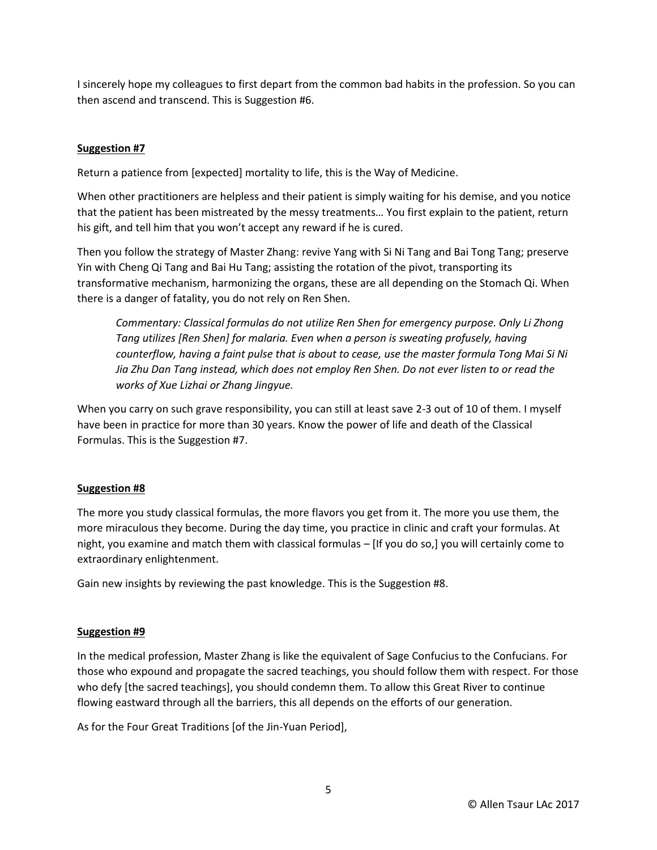I sincerely hope my colleagues to first depart from the common bad habits in the profession. So you can then ascend and transcend. This is Suggestion #6.

# **Suggestion #7**

Return a patience from [expected] mortality to life, this is the Way of Medicine.

When other practitioners are helpless and their patient is simply waiting for his demise, and you notice that the patient has been mistreated by the messy treatments… You first explain to the patient, return his gift, and tell him that you won't accept any reward if he is cured.

Then you follow the strategy of Master Zhang: revive Yang with Si Ni Tang and Bai Tong Tang; preserve Yin with Cheng Qi Tang and Bai Hu Tang; assisting the rotation of the pivot, transporting its transformative mechanism, harmonizing the organs, these are all depending on the Stomach Qi. When there is a danger of fatality, you do not rely on Ren Shen.

*Commentary: Classical formulas do not utilize Ren Shen for emergency purpose. Only Li Zhong Tang utilizes [Ren Shen] for malaria. Even when a person is sweating profusely, having counterflow, having a faint pulse that is about to cease, use the master formula Tong Mai Si Ni Jia Zhu Dan Tang instead, which does not employ Ren Shen. Do not ever listen to or read the works of Xue Lizhai or Zhang Jingyue.* 

When you carry on such grave responsibility, you can still at least save 2-3 out of 10 of them. I myself have been in practice for more than 30 years. Know the power of life and death of the Classical Formulas. This is the Suggestion #7.

# **Suggestion #8**

The more you study classical formulas, the more flavors you get from it. The more you use them, the more miraculous they become. During the day time, you practice in clinic and craft your formulas. At night, you examine and match them with classical formulas – [If you do so,] you will certainly come to extraordinary enlightenment.

Gain new insights by reviewing the past knowledge. This is the Suggestion #8.

# **Suggestion #9**

In the medical profession, Master Zhang is like the equivalent of Sage Confucius to the Confucians. For those who expound and propagate the sacred teachings, you should follow them with respect. For those who defy [the sacred teachings], you should condemn them. To allow this Great River to continue flowing eastward through all the barriers, this all depends on the efforts of our generation.

As for the Four Great Traditions [of the Jin-Yuan Period],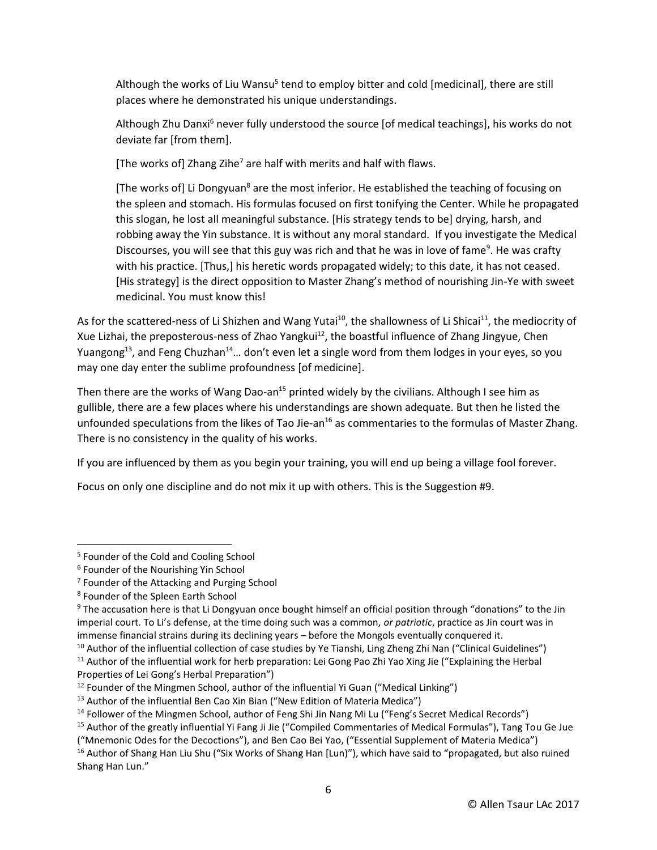Although the works of Liu Wansu<sup>5</sup> tend to employ bitter and cold [medicinal], there are still places where he demonstrated his unique understandings.

Although Zhu Danxi<sup>6</sup> never fully understood the source [of medical teachings], his works do not deviate far [from them].

[The works of] Zhang Zihe<sup>7</sup> are half with merits and half with flaws.

[The works of] Li Dongyuan<sup>8</sup> are the most inferior. He established the teaching of focusing on the spleen and stomach. His formulas focused on first tonifying the Center. While he propagated this slogan, he lost all meaningful substance. [His strategy tends to be] drying, harsh, and robbing away the Yin substance. It is without any moral standard. If you investigate the Medical Discourses, you will see that this guy was rich and that he was in love of fame<sup>9</sup>. He was crafty with his practice. [Thus,] his heretic words propagated widely; to this date, it has not ceased. [His strategy] is the direct opposition to Master Zhang's method of nourishing Jin-Ye with sweet medicinal. You must know this!

As for the scattered-ness of Li Shizhen and Wang Yutai<sup>10</sup>, the shallowness of Li Shicai<sup>11</sup>, the mediocrity of Xue Lizhai, the preposterous-ness of Zhao Yangkui<sup>12</sup>, the boastful influence of Zhang Jingyue, Chen Yuangong<sup>13</sup>, and Feng Chuzhan<sup>14</sup>... don't even let a single word from them lodges in your eyes, so you may one day enter the sublime profoundness [of medicine].

Then there are the works of Wang Dao-an<sup>15</sup> printed widely by the civilians. Although I see him as gullible, there are a few places where his understandings are shown adequate. But then he listed the unfounded speculations from the likes of Tao Jie-an<sup>16</sup> as commentaries to the formulas of Master Zhang. There is no consistency in the quality of his works.

If you are influenced by them as you begin your training, you will end up being a village fool forever.

Focus on only one discipline and do not mix it up with others. This is the Suggestion #9.

 $\overline{\phantom{a}}$ 

<sup>&</sup>lt;sup>5</sup> Founder of the Cold and Cooling School

<sup>6</sup> Founder of the Nourishing Yin School

<sup>&</sup>lt;sup>7</sup> Founder of the Attacking and Purging School

<sup>8</sup> Founder of the Spleen Earth School

<sup>9</sup> The accusation here is that Li Dongyuan once bought himself an official position through "donations" to the Jin imperial court. To Li's defense, at the time doing such was a common, *or patriotic*, practice as Jin court was in immense financial strains during its declining years – before the Mongols eventually conquered it.

 $10$  Author of the influential collection of case studies by Ye Tianshi, Ling Zheng Zhi Nan ("Clinical Guidelines") <sup>11</sup> Author of the influential work for herb preparation: Lei Gong Pao Zhi Yao Xing Jie ("Explaining the Herbal Properties of Lei Gong's Herbal Preparation")

 $12$  Founder of the Mingmen School, author of the influential Yi Guan ("Medical Linking")

 $13$  Author of the influential Ben Cao Xin Bian ("New Edition of Materia Medica")

<sup>&</sup>lt;sup>14</sup> Follower of the Mingmen School, author of Feng Shi Jin Nang Mi Lu ("Feng's Secret Medical Records")

<sup>&</sup>lt;sup>15</sup> Author of the greatly influential Yi Fang Ji Jie ("Compiled Commentaries of Medical Formulas"), Tang Tou Ge Jue ("Mnemonic Odes for the Decoctions"), and Ben Cao Bei Yao, ("Essential Supplement of Materia Medica")

<sup>&</sup>lt;sup>16</sup> Author of Shang Han Liu Shu ("Six Works of Shang Han [Lun)"), which have said to "propagated, but also ruined Shang Han Lun."